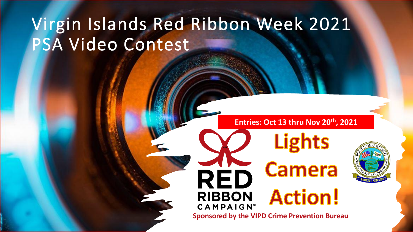# Virgin Islands Red Ribbon Week 2021 PSA Video Contest

#### **Entries: Oct 13 thru Nov 20th, 2021**

**Lights** 

Camera

**Action!** 



**CAMPAIGN Sponsored by the VIPD Crime Prevention Bureau**

RED

**RIBBON**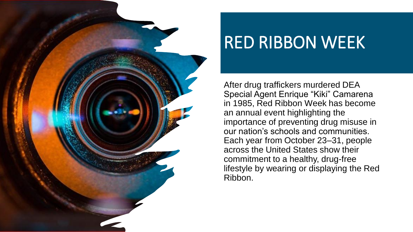

# RED RIBBON WEEK

After drug traffickers murdered DEA Special Agent Enrique "Kiki" Camarena in 1985, Red Ribbon Week has become an annual event highlighting the importance of preventing drug misuse in our nation's schools and communities. Each year from October 23–31, people across the United States show their commitment to a healthy, drug-free lifestyle by wearing or displaying the Red Ribbon.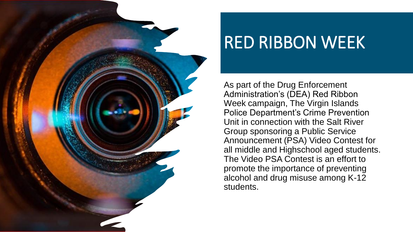

# RED RIBBON WEEK

As part of the Drug Enforcement Administration's (DEA) Red Ribbon Week campaign, The Virgin Islands Police Department's Crime Prevention Unit in connection with the Salt River Group sponsoring a Public Service Announcement (PSA) Video Contest for all middle and Highschool aged students. The Video PSA Contest is an effort to promote the importance of preventing alcohol and drug misuse among K-12 students.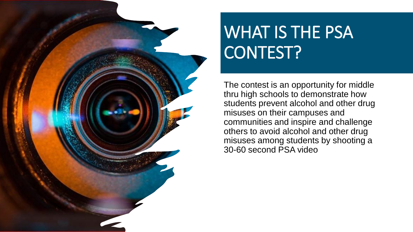# WHAT IS THE PSA CONTEST?

The contest is an opportunity for middle thru high schools to demonstrate how students prevent alcohol and other drug misuses on their campuses and communities and inspire and challenge others to avoid alcohol and other drug misuses among students by shooting a 30-60 second PSA video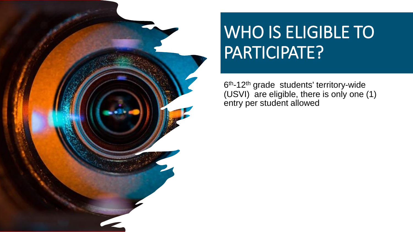

# WHO IS ELIGIBLE TO PARTICIPATE?

6<sup>th</sup>-12<sup>th</sup> grade students' territory-wide (USVI) are eligible, there is only one (1) entry per student allowed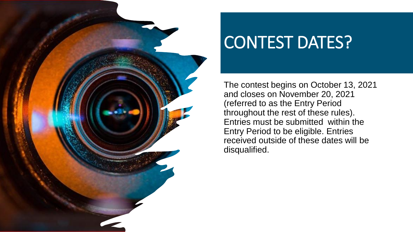

# CONTEST DATES?

The contest begins on October 13, 2021 and closes on November 20, 2021 (referred to as the Entry Period throughout the rest of these rules). Entries must be submitted within the Entry Period to be eligible. Entries received outside of these dates will be disqualified.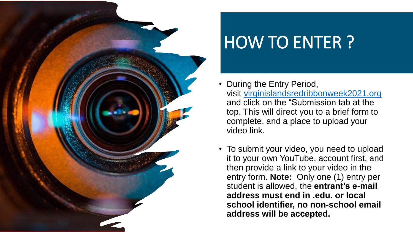

# HOW TO ENTER ?

- During the Entry Period, visit [virginislandsredribbonweek2021.org](http://virginislandsredribbonweek2021.org/) and click on the "Submission tab at the top. This will direct you to a brief form to complete, and a place to upload your video link.
- To submit your video, you need to upload it to your own YouTube, account first, and then provide a link to your video in the entry form. **Note:** Only one (1) entry per student is allowed, the **entrant's e-mail address must end in .edu. or local school identifier, no non-school email address will be accepted.**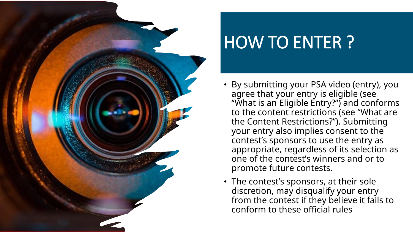

# HOW TO ENTER ?

- By submitting your PSA video (entry), you agree that your entry is eligible (see "What is an Eligible Entry?") and conforms to the content restrictions (see "What are the Content Restrictions?"). Submitting your entry also implies consent to the contest's sponsors to use the entry as appropriate, regardless of its selection as one of the contest's winners and or to promote future contests.
- The contest's sponsors, at their sole discretion, may disqualify your entry from the contest if they believe it fails to conform to these official rules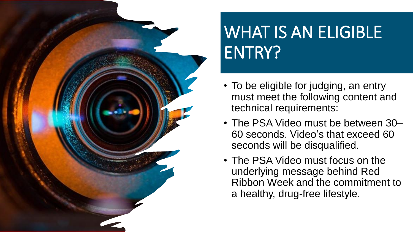

# WHAT IS AN ELIGIBLE ENTRY?

- To be eligible for judging, an entry must meet the following content and technical requirements:
- The PSA Video must be between 30– 60 seconds. Video's that exceed 60 seconds will be disqualified.
- The PSA Video must focus on the underlying message behind Red Ribbon Week and the commitment to a healthy, drug-free lifestyle.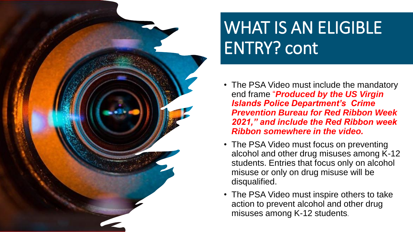

# WHAT IS AN ELIGIBLE ENTRY? cont

- The PSA Video must include the mandatory end frame "*Produced by the US Virgin Islands Police Department's Crime Prevention Bureau for Red Ribbon Week 2021," and include the Red Ribbon week Ribbon somewhere in the video.*
- The PSA Video must focus on preventing alcohol and other drug misuses among K-12 students. Entries that focus only on alcohol misuse or only on drug misuse will be disqualified.
- The PSA Video must inspire others to take action to prevent alcohol and other drug misuses among K-12 students.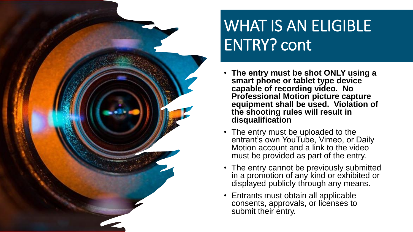

### WHAT IS AN ELIGIBLE ENTRY? cont

- **The entry must be shot ONLY using a smart phone or tablet type device capable of recording video. No Professional Motion picture capture equipment shall be used. Violation of the shooting rules will result in disqualification**
- The entry must be uploaded to the entrant's own YouTube, Vimeo, or Daily Motion account and a link to the video must be provided as part of the entry.
- The entry cannot be previously submitted in a promotion of any kind or exhibited or displayed publicly through any means.
- Entrants must obtain all applicable consents, approvals, or licenses to submit their entry.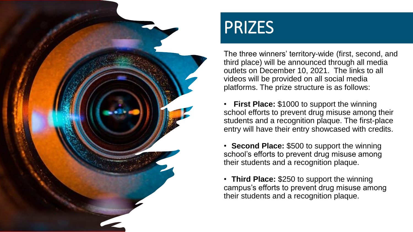

### PRIZES

The three winners' territory-wide (first, second, and third place) will be announced through all media outlets on December 10, 2021. The links to all videos will be provided on all social media platforms. The prize structure is as follows:

• **First Place:** \$1000 to support the winning school efforts to prevent drug misuse among their students and a recognition plaque. The first-place entry will have their entry showcased with credits.

• **Second Place:** \$500 to support the winning school's efforts to prevent drug misuse among their students and a recognition plaque.

• **Third Place:** \$250 to support the winning campus's efforts to prevent drug misuse among their students and a recognition plaque.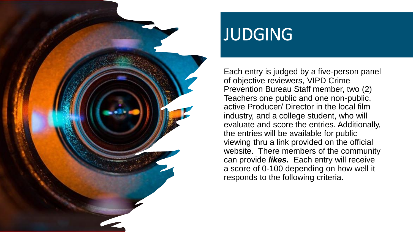

#### JUDGING

Each entry is judged by a five-person panel of objective reviewers, VIPD Crime Prevention Bureau Staff member, two (2) Teachers one public and one non-public, active Producer/ Director in the local film industry, and a college student, who will evaluate and score the entries. Additionally, the entries will be available for public viewing thru a link provided on the official website. There members of the community can provide *likes.* Each entry will receive a score of 0-100 depending on how well it responds to the following criteria.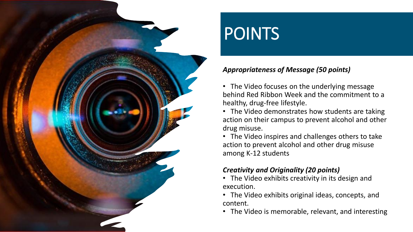

### POINTS

#### *Appropriateness of Message (50 points)*

• The Video focuses on the underlying message behind Red Ribbon Week and the commitment to a healthy, drug-free lifestyle.

• The Video demonstrates how students are taking action on their campus to prevent alcohol and other drug misuse.

• The Video inspires and challenges others to take action to prevent alcohol and other drug misuse among K-12 students

#### *Creativity and Originality (20 points)*

- The Video exhibits creativity in its design and execution.
- The Video exhibits original ideas, concepts, and content.
- The Video is memorable, relevant, and interesting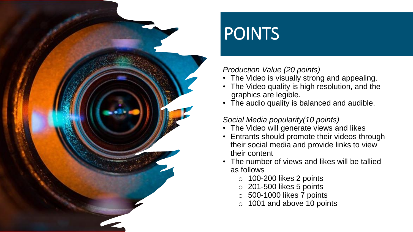

### POINTS

#### *Production Value (20 points)*

- The Video is visually strong and appealing.
- The Video quality is high resolution, and the graphics are legible.
- The audio quality is balanced and audible.

#### *Social Media popularity(10 points)*

- The Video will generate views and likes
- Entrants should promote their videos through their social media and provide links to view their content
- The number of views and likes will be tallied as follows
	- o 100-200 likes 2 points
	- o 201-500 likes 5 points
	- o 500-1000 likes 7 points
	- o 1001 and above 10 points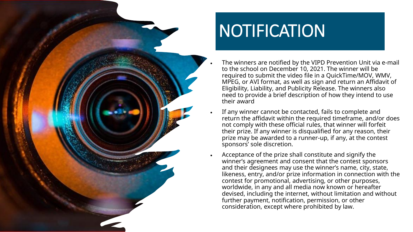

# NOTIFICATION

- The winners are notified by the VIPD Prevention Unit via e-mail to the school on December 10, 2021. The winner will be required to submit the video file in a QuickTime/MOV, WMV, MPEG, or AVI format, as well as sign and return an Affidavit of Eligibility, Liability, and Publicity Release. The winners also need to provide a brief description of how they intend to use their award
- If any winner cannot be contacted, fails to complete and return the affidavit within the required timeframe, and/or does not comply with these official rules, that winner will forfeit their prize. If any winner is disqualified for any reason, their prize may be awarded to a runner-up, if any, at the contest sponsors' sole discretion.
- Acceptance of the prize shall constitute and signify the winner's agreement and consent that the contest sponsors and their designees may use the winner's name, city, state, likeness, entry, and/or prize information in connection with the contest for promotional, advertising, or other purposes, worldwide, in any and all media now known or hereafter devised, including the internet, without limitation and without further payment, notification, permission, or other consideration, except where prohibited by law.